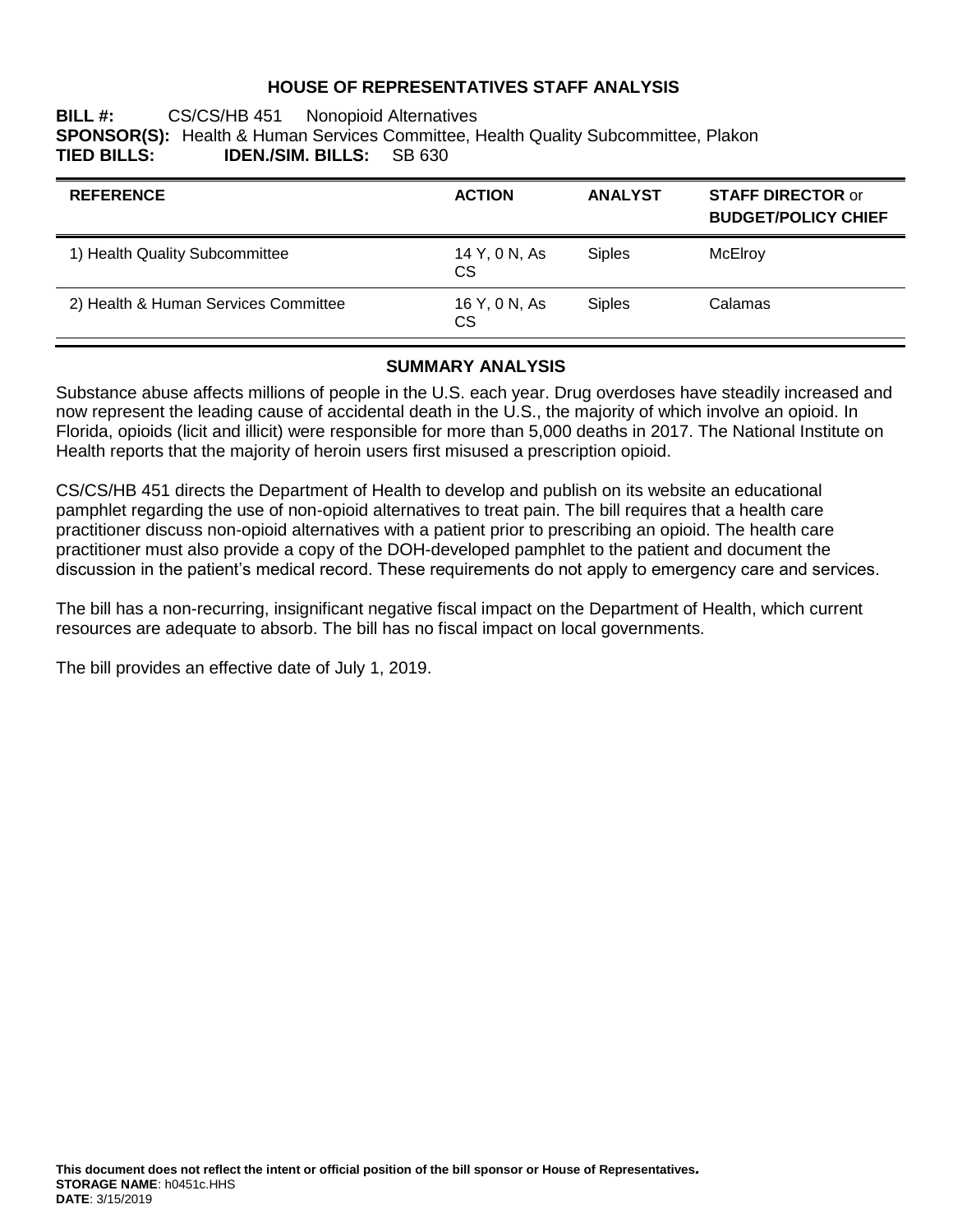### **HOUSE OF REPRESENTATIVES STAFF ANALYSIS**

#### **BILL #:** CS/CS/HB 451 Nonopioid Alternatives **SPONSOR(S):** Health & Human Services Committee, Health Quality Subcommittee, Plakon **TIED BILLS: IDEN./SIM. BILLS:** SB 630

| <b>REFERENCE</b>                     | <b>ACTION</b>       | <b>ANALYST</b> | <b>STAFF DIRECTOR or</b><br><b>BUDGET/POLICY CHIEF</b> |
|--------------------------------------|---------------------|----------------|--------------------------------------------------------|
| 1) Health Quality Subcommittee       | 14 Y, 0 N, As<br>CS | <b>Siples</b>  | McElroy                                                |
| 2) Health & Human Services Committee | 16 Y, 0 N, As<br>CS | <b>Siples</b>  | Calamas                                                |

#### **SUMMARY ANALYSIS**

Substance abuse affects millions of people in the U.S. each year. Drug overdoses have steadily increased and now represent the leading cause of accidental death in the U.S., the majority of which involve an opioid. In Florida, opioids (licit and illicit) were responsible for more than 5,000 deaths in 2017. The National Institute on Health reports that the majority of heroin users first misused a prescription opioid.

CS/CS/HB 451 directs the Department of Health to develop and publish on its website an educational pamphlet regarding the use of non-opioid alternatives to treat pain. The bill requires that a health care practitioner discuss non-opioid alternatives with a patient prior to prescribing an opioid. The health care practitioner must also provide a copy of the DOH-developed pamphlet to the patient and document the discussion in the patient's medical record. These requirements do not apply to emergency care and services.

The bill has a non-recurring, insignificant negative fiscal impact on the Department of Health, which current resources are adequate to absorb. The bill has no fiscal impact on local governments.

The bill provides an effective date of July 1, 2019.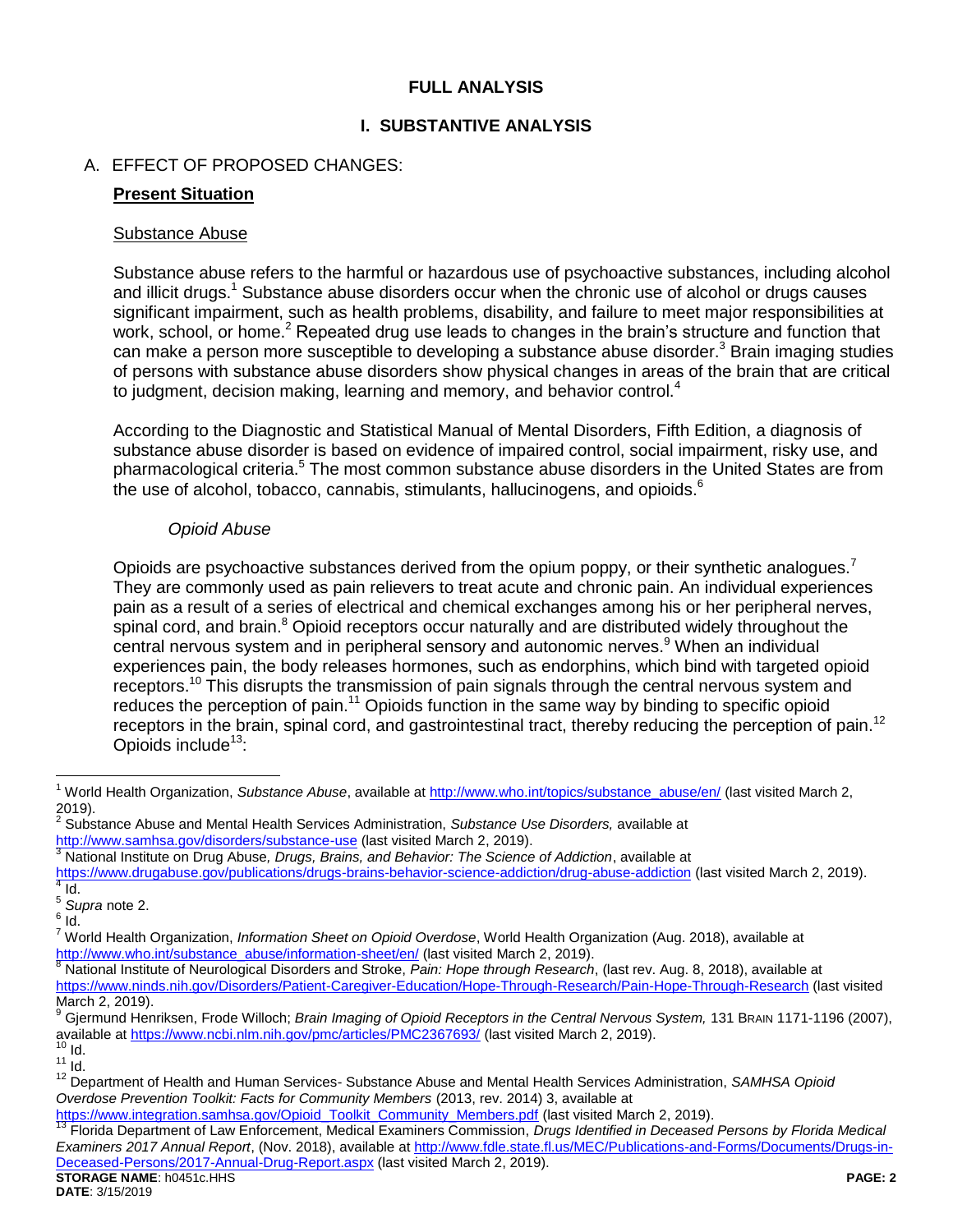### <span id="page-1-1"></span>**FULL ANALYSIS**

## **I. SUBSTANTIVE ANALYSIS**

## A. EFFECT OF PROPOSED CHANGES:

### **Present Situation**

#### Substance Abuse

<span id="page-1-0"></span>Substance abuse refers to the harmful or hazardous use of psychoactive substances, including alcohol and illicit drugs.<sup>1</sup> Substance abuse disorders occur when the chronic use of alcohol or drugs causes significant impairment, such as health problems, disability, and failure to meet major responsibilities at work, school, or home.<sup>2</sup> Repeated drug use leads to changes in the brain's structure and function that can make a person more susceptible to developing a substance abuse disorder.<sup>3</sup> Brain imaging studies of persons with substance abuse disorders show physical changes in areas of the brain that are critical to judgment, decision making, learning and memory, and behavior control.<sup>4</sup>

According to the Diagnostic and Statistical Manual of Mental Disorders, Fifth Edition, a diagnosis of substance abuse disorder is based on evidence of impaired control, social impairment, risky use, and pharmacological criteria.<sup>5</sup> The most common substance abuse disorders in the United States are from the use of alcohol, tobacco, cannabis, stimulants, hallucinogens, and opioids.<sup>6</sup>

#### <span id="page-1-2"></span>*Opioid Abuse*

Opioids are psychoactive substances derived from the opium poppy, or their synthetic analogues.<sup>7</sup> They are commonly used as pain relievers to treat acute and chronic pain. An individual experiences pain as a result of a series of electrical and chemical exchanges among his or her peripheral nerves, spinal cord, and brain.<sup>8</sup> Opioid receptors occur naturally and are distributed widely throughout the central nervous system and in peripheral sensory and autonomic nerves.<sup>9</sup> When an individual experiences pain, the body releases hormones, such as endorphins, which bind with targeted opioid receptors.<sup>10</sup> This disrupts the transmission of pain signals through the central nervous system and reduces the perception of pain.<sup>11</sup> Opioids function in the same way by binding to specific opioid receptors in the brain, spinal cord, and gastrointestinal tract, thereby reducing the perception of pain.<sup>12</sup> Opioids include $13$ :

<span id="page-1-3"></span> $\overline{a}$ 

<sup>&</sup>lt;sup>1</sup> World Health Organization, *Substance Abuse*, available at **http://www.who.int/topics/substance\_abuse/en/** (last visited March 2, 2019).

<sup>2</sup> Substance Abuse and Mental Health Services Administration, *Substance Use Disorders,* available at <http://www.samhsa.gov/disorders/substance-use> (last visited March 2, 2019).

<sup>3</sup> National Institute on Drug Abuse*, Drugs, Brains, and Behavior: The Science of Addiction*, available at

<https://www.drugabuse.gov/publications/drugs-brains-behavior-science-addiction/drug-abuse-addiction> (last visited March 2, 2019).  $4$  Id.

<sup>5</sup> *Supra* not[e 2.](#page-1-0)

 $^6$  Id.

<sup>7</sup> World Health Organization, *Information Sheet on Opioid Overdose*, World Health Organization (Aug. 2018), available at [http://www.who.int/substance\\_abuse/information-sheet/en/](http://www.who.int/substance_abuse/information-sheet/en/) (last visited March 2, 2019).

<sup>8</sup> National Institute of Neurological Disorders and Stroke, *Pain: Hope through Research*, (last rev. Aug. 8, 2018), available at <https://www.ninds.nih.gov/Disorders/Patient-Caregiver-Education/Hope-Through-Research/Pain-Hope-Through-Research> (last visited March 2, 2019).

<sup>9</sup> Gjermund Henriksen, Frode Willoch; *Brain Imaging of Opioid Receptors in the Central Nervous System,* 131 BRAIN 1171-1196 (2007), available at<https://www.ncbi.nlm.nih.gov/pmc/articles/PMC2367693/> (last visited March 2, 2019).

 $10$  Id.  $11 \over 1d$ .

<sup>12</sup> Department of Health and Human Services- Substance Abuse and Mental Health Services Administration, *SAMHSA Opioid Overdose Prevention Toolkit: Facts for Community Members* (2013, rev. 2014) 3, available at

[https://www.integration.samhsa.gov/Opioid\\_Toolkit\\_Community\\_Members.pdf](https://www.integration.samhsa.gov/Opioid_Toolkit_Community_Members.pdf) (last visited March 2, 2019).

**STORAGE NAME**: h0451c.HHS **PAGE: 2** <sup>13</sup> Florida Department of Law Enforcement, Medical Examiners Commission, *Drugs Identified in Deceased Persons by Florida Medical Examiners 2017 Annual Report*, (Nov. 2018), available at [http://www.fdle.state.fl.us/MEC/Publications-and-Forms/Documents/Drugs-in-](http://www.fdle.state.fl.us/MEC/Publications-and-Forms/Documents/Drugs-in-Deceased-Persons/2017-Annual-Drug-Report.aspx)[Deceased-Persons/2017-Annual-Drug-Report.aspx](http://www.fdle.state.fl.us/MEC/Publications-and-Forms/Documents/Drugs-in-Deceased-Persons/2017-Annual-Drug-Report.aspx) (last visited March 2, 2019).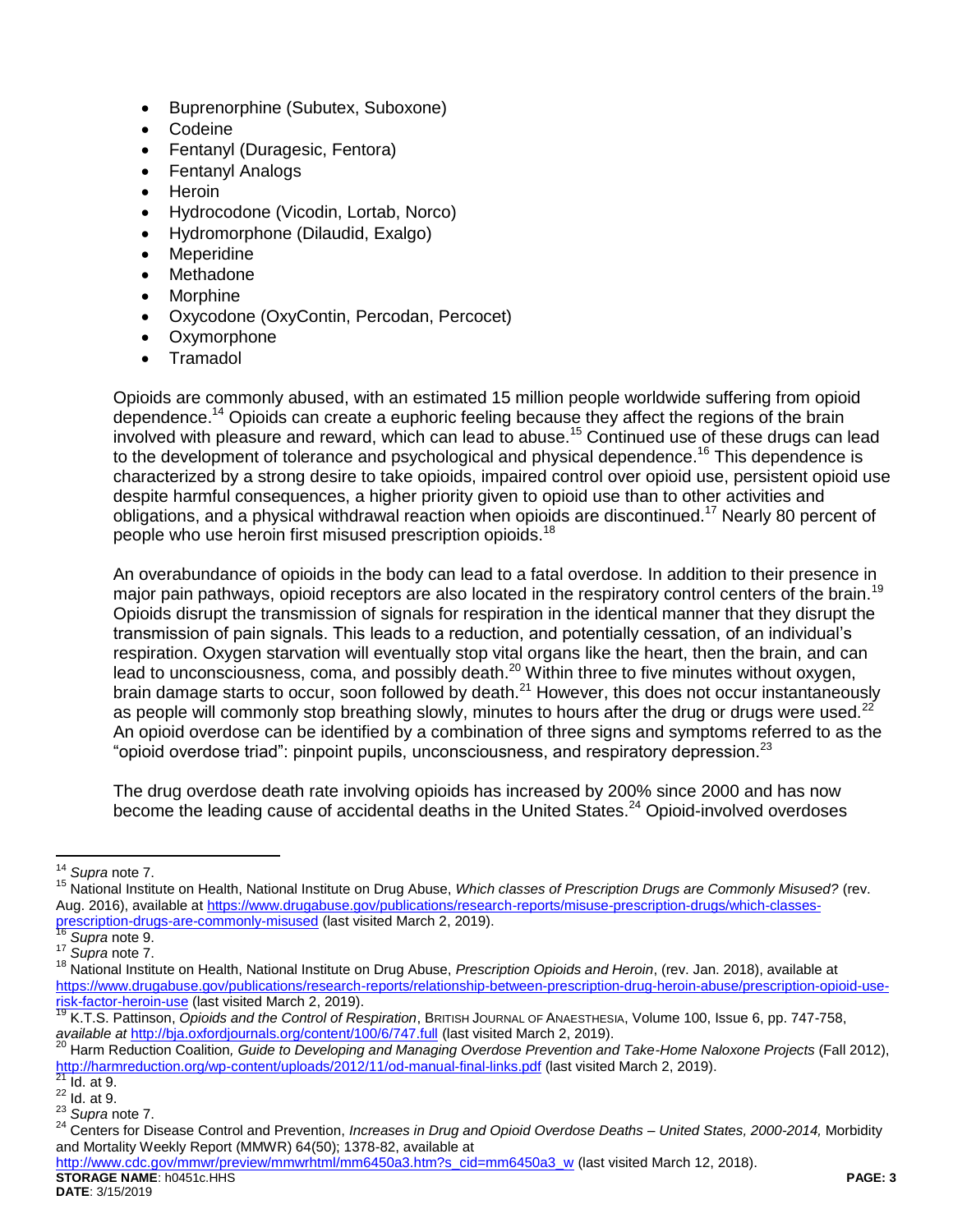- Buprenorphine (Subutex, Suboxone)
- **Codeine**
- Fentanyl (Duragesic, Fentora)
- Fentanyl Analogs
- Heroin
- Hydrocodone (Vicodin, Lortab, Norco)
- Hydromorphone (Dilaudid, Exalgo)
- Meperidine
- Methadone
- Morphine
- Oxycodone (OxyContin, Percodan, Percocet)
- Oxymorphone
- Tramadol

Opioids are commonly abused, with an estimated 15 million people worldwide suffering from opioid dependence.<sup>14</sup> Opioids can create a euphoric feeling because they affect the regions of the brain involved with pleasure and reward, which can lead to abuse.<sup>15</sup> Continued use of these drugs can lead to the development of tolerance and psychological and physical dependence.<sup>16</sup> This dependence is characterized by a strong desire to take opioids, impaired control over opioid use, persistent opioid use despite harmful consequences, a higher priority given to opioid use than to other activities and obligations, and a physical withdrawal reaction when opioids are discontinued.<sup>17</sup> Nearly 80 percent of people who use heroin first misused prescription opioids.<sup>18</sup>

An overabundance of opioids in the body can lead to a fatal overdose. In addition to their presence in major pain pathways, opioid receptors are also located in the respiratory control centers of the brain.<sup>19</sup> Opioids disrupt the transmission of signals for respiration in the identical manner that they disrupt the transmission of pain signals. This leads to a reduction, and potentially cessation, of an individual's respiration. Oxygen starvation will eventually stop vital organs like the heart, then the brain, and can lead to unconsciousness, coma, and possibly death.<sup>20</sup> Within three to five minutes without oxygen, brain damage starts to occur, soon followed by death. $^{21}$  However, this does not occur instantaneously as people will commonly stop breathing slowly, minutes to hours after the drug or drugs were used. $^{22}$ An opioid overdose can be identified by a combination of three signs and symptoms referred to as the "opioid overdose triad": pinpoint pupils, unconsciousness, and respiratory depression.<sup>23</sup>

The drug overdose death rate involving opioids has increased by 200% since 2000 and has now become the leading cause of accidental deaths in the United States.<sup>24</sup> Opioid-involved overdoses

**STORAGE NAME**: h0451c.HHS **PAGE: 3** [http://www.cdc.gov/mmwr/preview/mmwrhtml/mm6450a3.htm?s\\_cid=mm6450a3\\_w](http://www.cdc.gov/mmwr/preview/mmwrhtml/mm6450a3.htm?s_cid=mm6450a3_w) (last visited March 12, 2018).

 $\overline{a}$ <sup>14</sup> *Supra* not[e 7.](#page-1-1)

<sup>15</sup> National Institute on Health, National Institute on Drug Abuse, *Which classes of Prescription Drugs are Commonly Misused?* (rev. Aug. 2016), available at [https://www.drugabuse.gov/publications/research-reports/misuse-prescription-drugs/which-classes](https://www.drugabuse.gov/publications/research-reports/misuse-prescription-drugs/which-classes-prescription-drugs-are-commonly-misused)[prescription-drugs-are-commonly-misused](https://www.drugabuse.gov/publications/research-reports/misuse-prescription-drugs/which-classes-prescription-drugs-are-commonly-misused) (last visited March 2, 2019).

<sup>16</sup> *Supra* not[e 9.](#page-1-2)

<sup>17</sup> *Supra* not[e 7.](#page-1-1)

<sup>18</sup> National Institute on Health, National Institute on Drug Abuse, *Prescription Opioids and Heroin*, (rev. Jan. 2018), available at https://www.drugabuse.gov/publications/research-reports/relationship-between-prescription-drug-heroin-abuse/prescription-opioid-userisk-factor-heroin-use (last visited March 2, 2019).

<sup>19</sup> K.T.S. Pattinson, *Opioids and the Control of Respiration*, BRITISH JOURNAL OF ANAESTHESIA, Volume 100, Issue 6, pp. 747-758, *available at* <http://bja.oxfordjournals.org/content/100/6/747.full> (last visited March 2, 2019).

<sup>20</sup> Harm Reduction Coalition*, Guide to Developing and Managing Overdose Prevention and Take-Home Naloxone Projects* (Fall 2012), <http://harmreduction.org/wp-content/uploads/2012/11/od-manual-final-links.pdf> (last visited March 2, 2019).

Id. at 9.

 $22$  Id. at 9.

<sup>23</sup> *Supra* not[e 7.](#page-1-1)

<sup>24</sup> Centers for Disease Control and Prevention, *Increases in Drug and Opioid Overdose Deaths – United States, 2000-2014,* Morbidity and Mortality Weekly Report (MMWR) 64(50); 1378-82, available at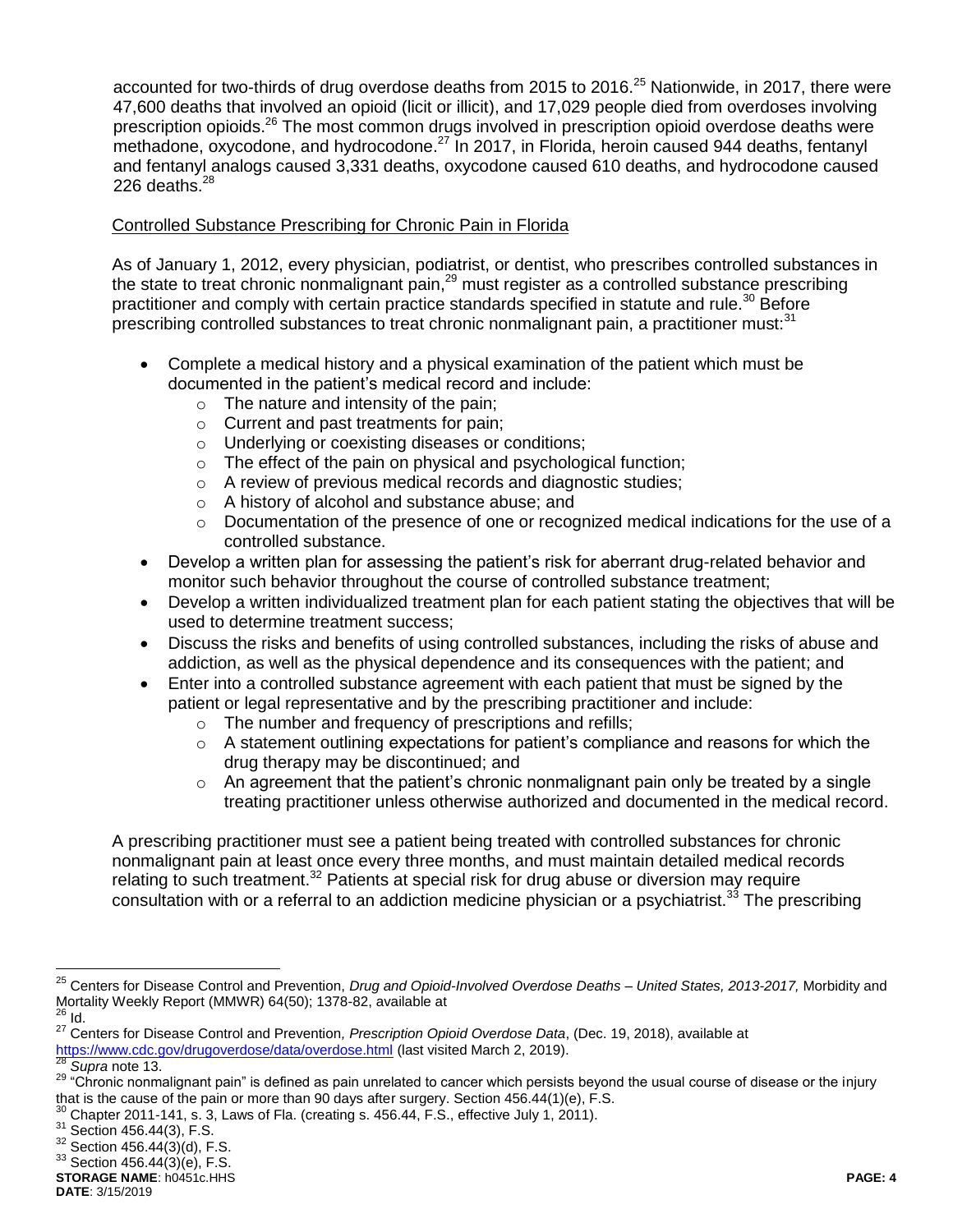accounted for two-thirds of drug overdose deaths from 2015 to 2016.<sup>25</sup> Nationwide, in 2017, there were 47,600 deaths that involved an opioid (licit or illicit), and 17,029 people died from overdoses involving prescription opioids.<sup>26</sup> The most common drugs involved in prescription opioid overdose deaths were methadone, oxycodone, and hydrocodone.<sup>27</sup> In 2017, in Florida, heroin caused 944 deaths, fentanyl and fentanyl analogs caused 3,331 deaths, oxycodone caused 610 deaths, and hydrocodone caused 226 deaths. $^{28}$ 

### Controlled Substance Prescribing for Chronic Pain in Florida

As of January 1, 2012, every physician, podiatrist, or dentist, who prescribes controlled substances in the state to treat chronic nonmalignant pain,<sup>29</sup> must register as a controlled substance prescribing practitioner and comply with certain practice standards specified in statute and rule.<sup>30</sup> Before prescribing controlled substances to treat chronic nonmalignant pain, a practitioner must: $31$ 

- Complete a medical history and a physical examination of the patient which must be documented in the patient's medical record and include:
	- o The nature and intensity of the pain;
	- o Current and past treatments for pain;
	- o Underlying or coexisting diseases or conditions;
	- $\circ$  The effect of the pain on physical and psychological function;
	- o A review of previous medical records and diagnostic studies;
	- o A history of alcohol and substance abuse; and
	- $\circ$  Documentation of the presence of one or recognized medical indications for the use of a controlled substance.
- Develop a written plan for assessing the patient's risk for aberrant drug-related behavior and monitor such behavior throughout the course of controlled substance treatment;
- Develop a written individualized treatment plan for each patient stating the objectives that will be used to determine treatment success;
- Discuss the risks and benefits of using controlled substances, including the risks of abuse and addiction, as well as the physical dependence and its consequences with the patient; and
- Enter into a controlled substance agreement with each patient that must be signed by the patient or legal representative and by the prescribing practitioner and include:
	- o The number and frequency of prescriptions and refills;
	- $\circ$  A statement outlining expectations for patient's compliance and reasons for which the drug therapy may be discontinued; and
	- $\circ$  An agreement that the patient's chronic nonmalignant pain only be treated by a single treating practitioner unless otherwise authorized and documented in the medical record.

A prescribing practitioner must see a patient being treated with controlled substances for chronic nonmalignant pain at least once every three months, and must maintain detailed medical records relating to such treatment.<sup>32</sup> Patients at special risk for drug abuse or diversion may require consultation with or a referral to an addiction medicine physician or a psychiatrist.<sup>33</sup> The prescribing

 $\overline{a}$ 

<sup>25</sup> Centers for Disease Control and Prevention, *Drug and Opioid-Involved Overdose Deaths – United States, 2013-2017,* Morbidity and Mortality Weekly Report (MMWR) 64(50); 1378-82, available at

 $26$  Id.

<sup>27</sup> Centers for Disease Control and Prevention*, Prescription Opioid Overdose Data*, (Dec. 19, 2018), available at <https://www.cdc.gov/drugoverdose/data/overdose.html> (last visited March 2, 2019).

Supra not[e 13.](#page-1-3)

<sup>29 &</sup>quot;Chronic nonmalignant pain" is defined as pain unrelated to cancer which persists beyond the usual course of disease or the injury that is the cause of the pain or more than 90 days after surgery. Section 456.44(1)(e), F.S.

<sup>30</sup> Chapter 2011-141, s. 3, Laws of Fla. (creating s. 456.44, F.S., effective July 1, 2011).

 $31$  Section 456.44(3), F.S.

<sup>32</sup> Section 456.44(3)(d), F.S.

 $33$  Section 456.44(3)(e), F.S.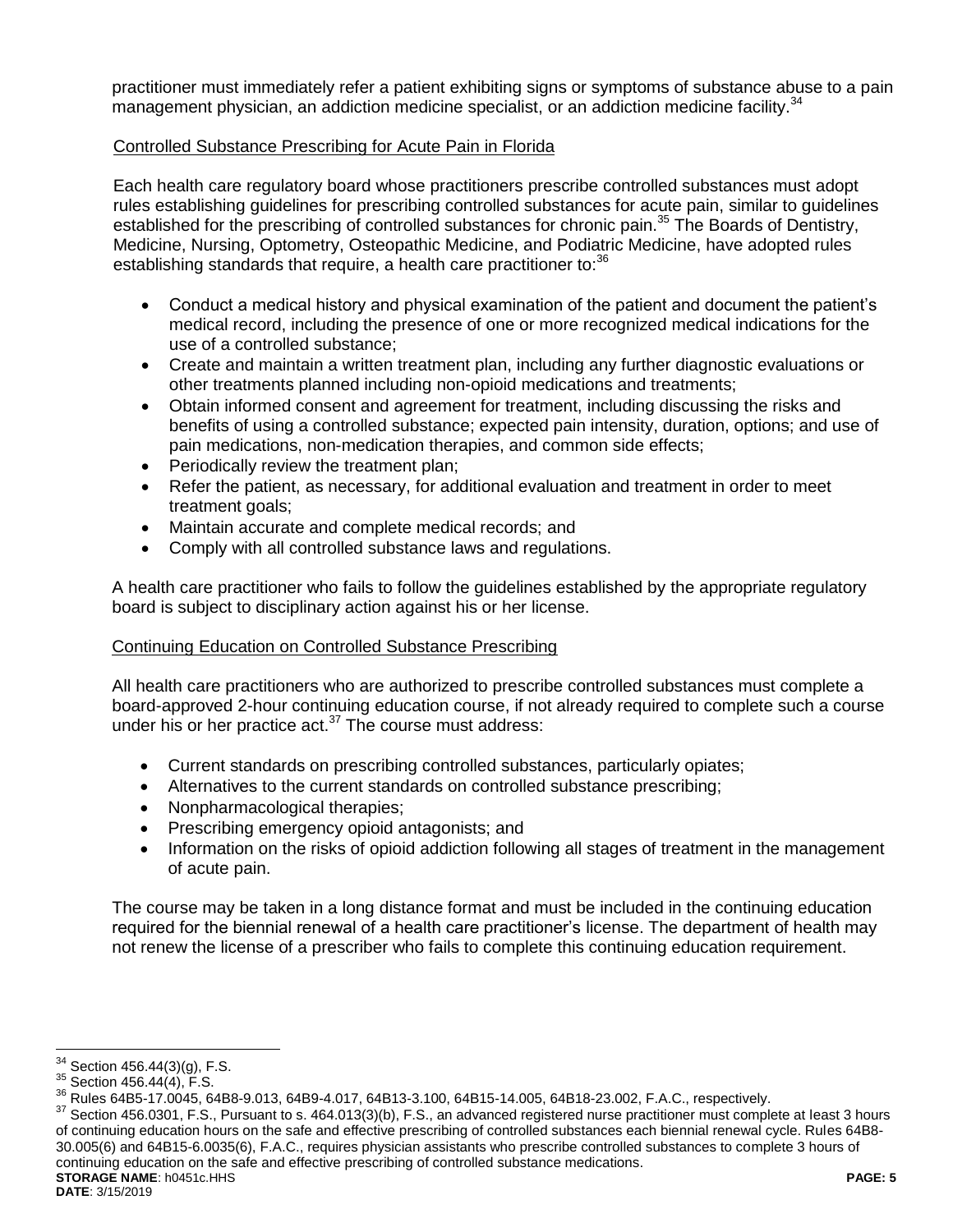practitioner must immediately refer a patient exhibiting signs or symptoms of substance abuse to a pain management physician, an addiction medicine specialist, or an addiction medicine facility.<sup>34</sup>

### Controlled Substance Prescribing for Acute Pain in Florida

Each health care regulatory board whose practitioners prescribe controlled substances must adopt rules establishing guidelines for prescribing controlled substances for acute pain, similar to guidelines established for the prescribing of controlled substances for chronic pain.<sup>35</sup> The Boards of Dentistry, Medicine, Nursing, Optometry, Osteopathic Medicine, and Podiatric Medicine, have adopted rules establishing standards that require, a health care practitioner to:<sup>36</sup>

- Conduct a medical history and physical examination of the patient and document the patient's medical record, including the presence of one or more recognized medical indications for the use of a controlled substance;
- Create and maintain a written treatment plan, including any further diagnostic evaluations or other treatments planned including non-opioid medications and treatments;
- Obtain informed consent and agreement for treatment, including discussing the risks and benefits of using a controlled substance; expected pain intensity, duration, options; and use of pain medications, non-medication therapies, and common side effects;
- Periodically review the treatment plan;
- Refer the patient, as necessary, for additional evaluation and treatment in order to meet treatment goals;
- Maintain accurate and complete medical records; and
- Comply with all controlled substance laws and regulations.

A health care practitioner who fails to follow the guidelines established by the appropriate regulatory board is subject to disciplinary action against his or her license.

### Continuing Education on Controlled Substance Prescribing

All health care practitioners who are authorized to prescribe controlled substances must complete a board-approved 2-hour continuing education course, if not already required to complete such a course under his or her practice act. $37$  The course must address:

- Current standards on prescribing controlled substances, particularly opiates;
- Alternatives to the current standards on controlled substance prescribing;
- Nonpharmacological therapies;
- Prescribing emergency opioid antagonists; and
- Information on the risks of opioid addiction following all stages of treatment in the management of acute pain.

The course may be taken in a long distance format and must be included in the continuing education required for the biennial renewal of a health care practitioner's license. The department of health may not renew the license of a prescriber who fails to complete this continuing education requirement.

**STORAGE NAME**: h0451c.HHS **PAGE: 5** <sup>37</sup> Section 456.0301, F.S., Pursuant to s. 464.013(3)(b), F.S., an advanced registered nurse practitioner must complete at least 3 hours of continuing education hours on the safe and effective prescribing of controlled substances each biennial renewal cycle. Rules 64B8- 30.005(6) and 64B15-6.0035(6), F.A.C., requires physician assistants who prescribe controlled substances to complete 3 hours of continuing education on the safe and effective prescribing of controlled substance medications.

 $\overline{a}$ 

 $34$  Section 456.44(3)(g), F.S.

 $35$  Section 456.44(4), F.S.

<sup>36</sup> Rules 64B5-17.0045, 64B8-9.013, 64B9-4.017, 64B13-3.100, 64B15-14.005, 64B18-23.002, F.A.C., respectively.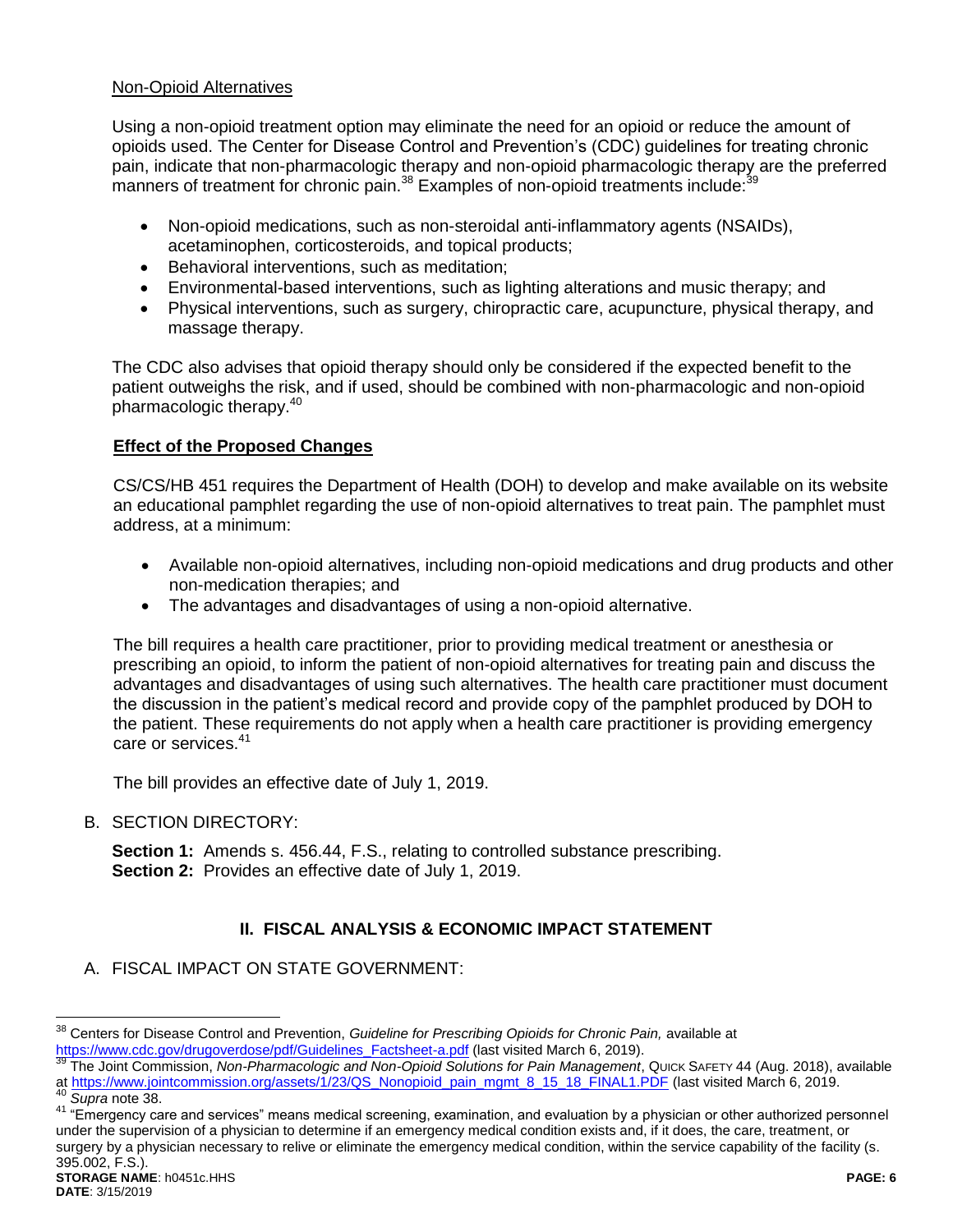#### Non-Opioid Alternatives

Using a non-opioid treatment option may eliminate the need for an opioid or reduce the amount of opioids used. The Center for Disease Control and Prevention's (CDC) guidelines for treating chronic pain, indicate that non-pharmacologic therapy and non-opioid pharmacologic therapy are the preferred manners of treatment for chronic pain.<sup>38</sup> Examples of non-opioid treatments include:<sup>39</sup>

- <span id="page-5-0"></span> Non-opioid medications, such as non-steroidal anti-inflammatory agents (NSAIDs), acetaminophen, corticosteroids, and topical products;
- Behavioral interventions, such as meditation:
- Environmental-based interventions, such as lighting alterations and music therapy; and
- Physical interventions, such as surgery, chiropractic care, acupuncture, physical therapy, and massage therapy.

The CDC also advises that opioid therapy should only be considered if the expected benefit to the patient outweighs the risk, and if used, should be combined with non-pharmacologic and non-opioid pharmacologic therapy.<sup>40</sup>

### **Effect of the Proposed Changes**

CS/CS/HB 451 requires the Department of Health (DOH) to develop and make available on its website an educational pamphlet regarding the use of non-opioid alternatives to treat pain. The pamphlet must address, at a minimum:

- Available non-opioid alternatives, including non-opioid medications and drug products and other non-medication therapies; and
- The advantages and disadvantages of using a non-opioid alternative.

The bill requires a health care practitioner, prior to providing medical treatment or anesthesia or prescribing an opioid, to inform the patient of non-opioid alternatives for treating pain and discuss the advantages and disadvantages of using such alternatives. The health care practitioner must document the discussion in the patient's medical record and provide copy of the pamphlet produced by DOH to the patient. These requirements do not apply when a health care practitioner is providing emergency care or services.<sup>41</sup>

The bill provides an effective date of July 1, 2019.

B. SECTION DIRECTORY:

**Section 1:** Amends s. 456.44, F.S., relating to controlled substance prescribing. **Section 2:** Provides an effective date of July 1, 2019.

## **II. FISCAL ANALYSIS & ECONOMIC IMPACT STATEMENT**

A. FISCAL IMPACT ON STATE GOVERNMENT:

<sup>38</sup> <sup>38</sup> Centers for Disease Control and Prevention, *Guideline for Prescribing Opioids for Chronic Pain,* available at [https://www.cdc.gov/drugoverdose/pdf/Guidelines\\_Factsheet-a.pdf](https://www.cdc.gov/drugoverdose/pdf/Guidelines_Factsheet-a.pdf) (last visited March 6, 2019).

<sup>39</sup> The Joint Commission, *Non-Pharmacologic and Non-Opioid Solutions for Pain Management*, QUICK SAFETY 44 (Aug. 2018), available at [https://www.jointcommission.org/assets/1/23/QS\\_Nonopioid\\_pain\\_mgmt\\_8\\_15\\_18\\_FINAL1.PDF](https://www.jointcommission.org/assets/1/23/QS_Nonopioid_pain_mgmt_8_15_18_FINAL1.PDF) (last visited March 6, 2019.

Supra not[e 38.](#page-5-0)

<sup>41 &</sup>quot;Emergency care and services" means medical screening, examination, and evaluation by a physician or other authorized personnel under the supervision of a physician to determine if an emergency medical condition exists and, if it does, the care, treatment, or surgery by a physician necessary to relive or eliminate the emergency medical condition, within the service capability of the facility (s.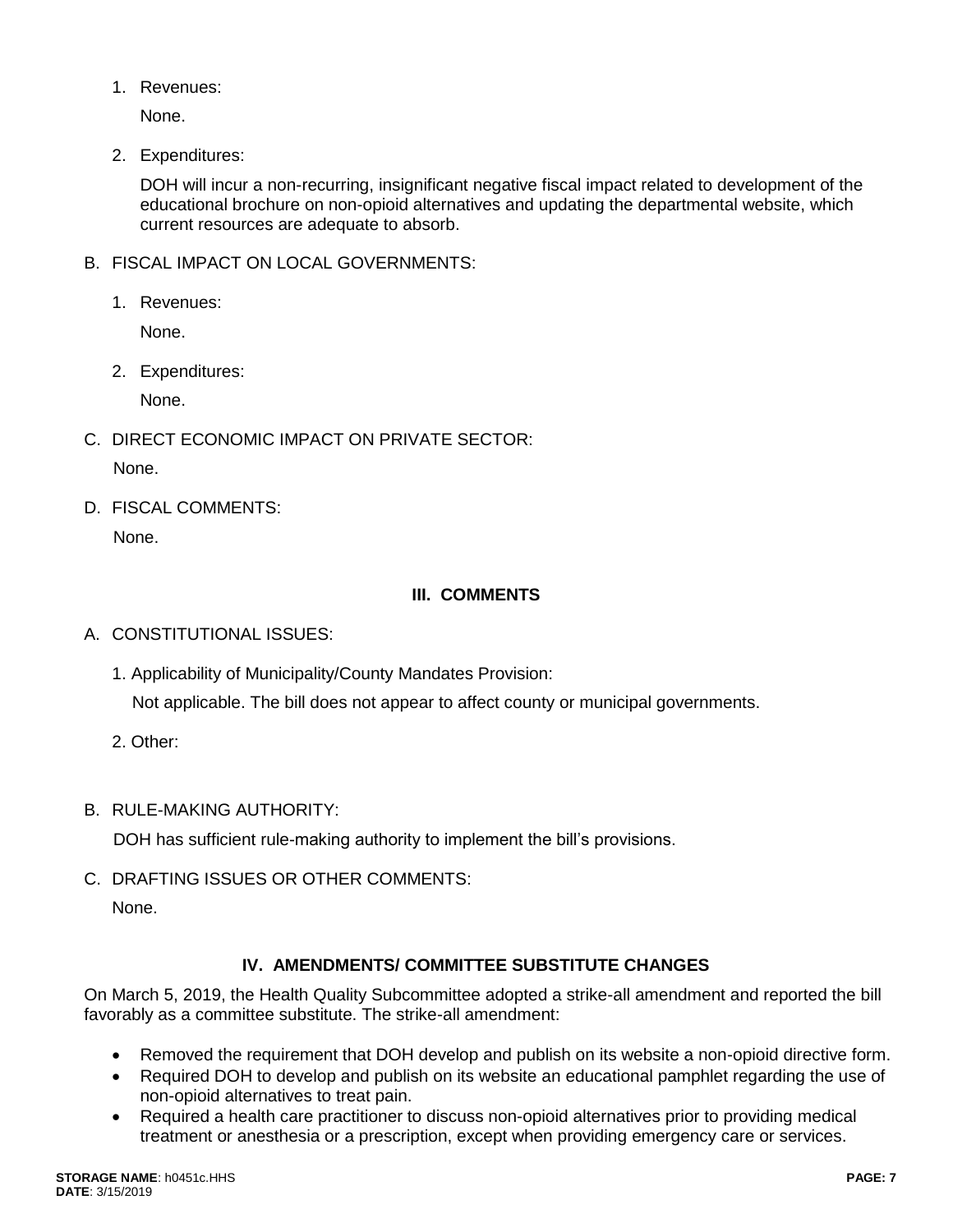1. Revenues:

None.

2. Expenditures:

DOH will incur a non-recurring, insignificant negative fiscal impact related to development of the educational brochure on non-opioid alternatives and updating the departmental website, which current resources are adequate to absorb.

- B. FISCAL IMPACT ON LOCAL GOVERNMENTS:
	- 1. Revenues:

None.

2. Expenditures:

None.

- C. DIRECT ECONOMIC IMPACT ON PRIVATE SECTOR: None.
- D. FISCAL COMMENTS: None.

# **III. COMMENTS**

- A. CONSTITUTIONAL ISSUES:
	- 1. Applicability of Municipality/County Mandates Provision: Not applicable. The bill does not appear to affect county or municipal governments.
	- 2. Other:
- B. RULE-MAKING AUTHORITY:

DOH has sufficient rule-making authority to implement the bill's provisions.

C. DRAFTING ISSUES OR OTHER COMMENTS:

None.

# **IV. AMENDMENTS/ COMMITTEE SUBSTITUTE CHANGES**

On March 5, 2019, the Health Quality Subcommittee adopted a strike-all amendment and reported the bill favorably as a committee substitute. The strike-all amendment:

- Removed the requirement that DOH develop and publish on its website a non-opioid directive form.
- Required DOH to develop and publish on its website an educational pamphlet regarding the use of non-opioid alternatives to treat pain.
- Required a health care practitioner to discuss non-opioid alternatives prior to providing medical treatment or anesthesia or a prescription, except when providing emergency care or services.